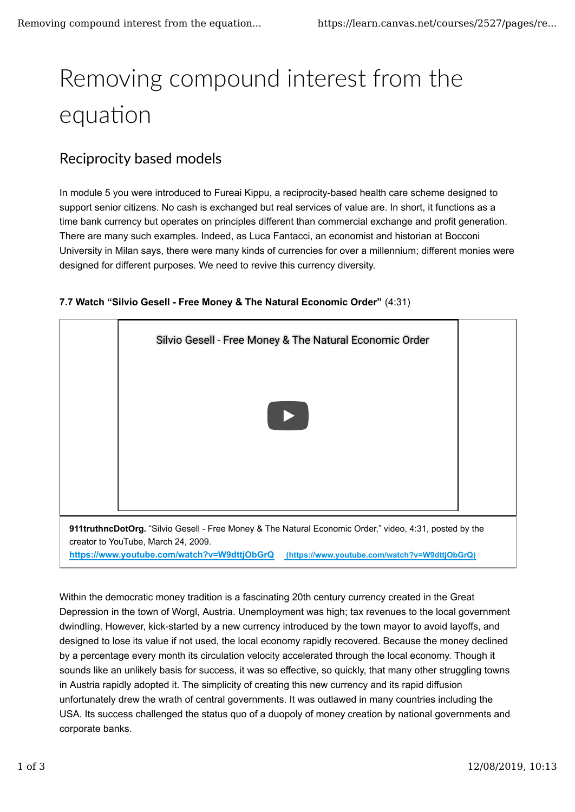# Removing compound interest from the equation

## Reciprocity based models

In module 5 you were introduced to Fureai Kippu, a reciprocity-based health care scheme designed to support senior citizens. No cash is exchanged but real services of value are. In short, it functions as a time bank currency but operates on principles different than commercial exchange and profit generation. There are many such examples. Indeed, as Luca Fantacci, an economist and historian at Bocconi University in Milan says, there were many kinds of currencies for over a millennium; different monies were designed for different purposes. We need to revive this currency diversity.





**https://www.youtube.com/watch?v=W9dttjObGrQ (https://www.youtube.com/watch?v=W9dttjObGrQ)**

Within the democratic money tradition is a fascinating 20th century currency created in the Great Depression in the town of Worgl, Austria. Unemployment was high; tax revenues to the local government dwindling. However, kick-started by a new currency introduced by the town mayor to avoid layoffs, and designed to lose its value if not used, the local economy rapidly recovered. Because the money declined by a percentage every month its circulation velocity accelerated through the local economy. Though it sounds like an unlikely basis for success, it was so effective, so quickly, that many other struggling towns in Austria rapidly adopted it. The simplicity of creating this new currency and its rapid diffusion unfortunately drew the wrath of central governments. It was outlawed in many countries including the USA. Its success challenged the status quo of a duopoly of money creation by national governments and corporate banks.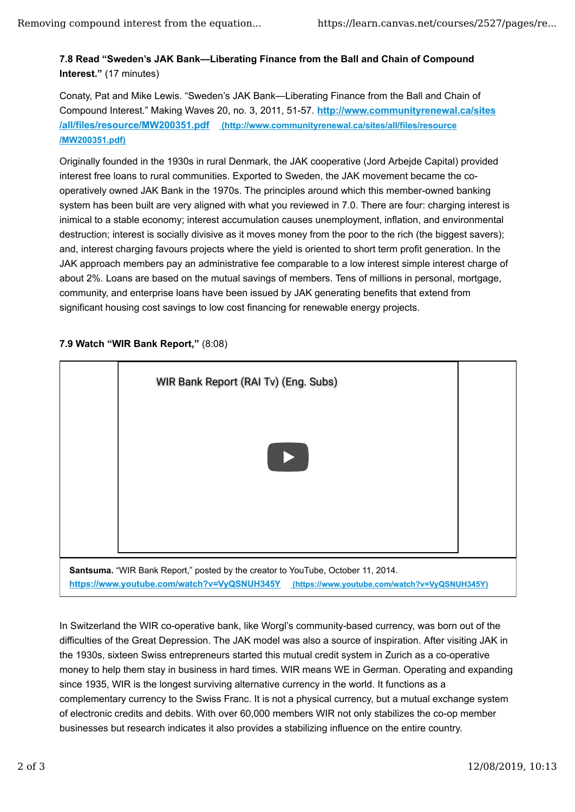#### **7.8 Read "Sweden's JAK Bank—Liberating Finance from the Ball and Chain of Compound Interest."** (17 minutes)

Conaty, Pat and Mike Lewis. "Sweden's JAK Bank—Liberating Finance from the Ball and Chain of Compound Interest." Making Waves 20, no. 3, 2011, 51-57. **http://www.communityrenewal.ca/sites /all/files/resource/MW200351.pdf (http://www.communityrenewal.ca/sites/all/files/resource /MW200351.pdf)**

Originally founded in the 1930s in rural Denmark, the JAK cooperative (Jord Arbejde Capital) provided interest free loans to rural communities. Exported to Sweden, the JAK movement became the cooperatively owned JAK Bank in the 1970s. The principles around which this member-owned banking system has been built are very aligned with what you reviewed in 7.0. There are four: charging interest is inimical to a stable economy; interest accumulation causes unemployment, inflation, and environmental destruction; interest is socially divisive as it moves money from the poor to the rich (the biggest savers); and, interest charging favours projects where the yield is oriented to short term profit generation. In the JAK approach members pay an administrative fee comparable to a low interest simple interest charge of about 2%. Loans are based on the mutual savings of members. Tens of millions in personal, mortgage, community, and enterprise loans have been issued by JAK generating benefits that extend from significant housing cost savings to low cost financing for renewable energy projects.



### **7.9 Watch "WIR Bank Report,"** (8:08)

In Switzerland the WIR co-operative bank, like Worgl's community-based currency, was born out of the difficulties of the Great Depression. The JAK model was also a source of inspiration. After visiting JAK in the 1930s, sixteen Swiss entrepreneurs started this mutual credit system in Zurich as a co-operative money to help them stay in business in hard times. WIR means WE in German. Operating and expanding since 1935, WIR is the longest surviving alternative currency in the world. It functions as a complementary currency to the Swiss Franc. It is not a physical currency, but a mutual exchange system of electronic credits and debits. With over 60,000 members WIR not only stabilizes the co-op member businesses but research indicates it also provides a stabilizing influence on the entire country.